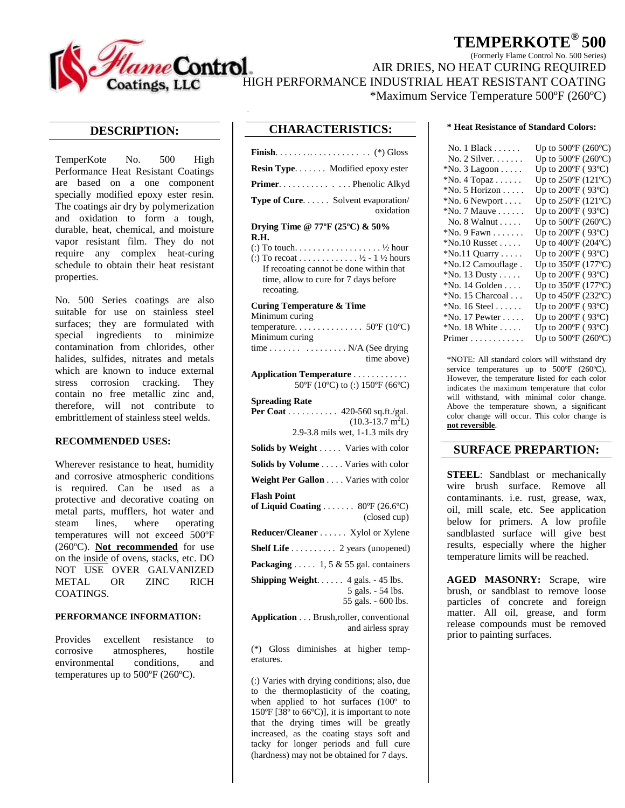

# **TEMPERKOTE® 500**

(Formerly Flame Control No. 500 Series)

AIR DRIES, NO HEAT CURING REQUIRED

\*Maximum Service Temperature 500ºF (260ºC)

## **DESCRIPTION:**

TemperKote No. 500 High Performance Heat Resistant Coatings are based on a one component specially modified epoxy ester resin. The coatings air dry by polymerization and oxidation to form a tough, durable, heat, chemical, and moisture vapor resistant film. They do not require any complex heat-curing schedule to obtain their heat resistant properties.

No. 500 Series coatings are also suitable for use on stainless steel surfaces; they are formulated with special ingredients to minimize contamination from chlorides, other halides, sulfides, nitrates and metals which are known to induce external stress corrosion cracking. They contain no free metallic zinc and, therefore, will not contribute to embrittlement of stainless steel welds.

### **RECOMMENDED USES:**

Wherever resistance to heat, humidity and corrosive atmospheric conditions is required. Can be used as a protective and decorative coating on metal parts, mufflers, hot water and steam lines, where operating temperatures will not exceed 500ºF (260ºC). **Not recommended** for use on the inside of ovens, stacks, etc. DO NOT USE OVER GALVANIZED METAL OR ZINC RICH COATINGS.

### **PERFORMANCE INFORMATION:**

Provides excellent resistance to corrosive atmospheres, hostile environmental conditions, and temperatures up to 500ºF (260ºC).

## **CHARACTERISTICS:**

| Resin Type. Modified epoxy ester                                                                                                                                            |
|-----------------------------------------------------------------------------------------------------------------------------------------------------------------------------|
| Primer. Phenolic Alkyd                                                                                                                                                      |
| Type of Cure. Solvent evaporation/<br>oxidation                                                                                                                             |
| Drying Time @ 77°F $(25^{\circ}C)$ & 50%<br>R.H.                                                                                                                            |
| $\therefore$ To touch ½ hour<br>(:) To recoat 1/2 - 1 $\frac{1}{2}$ hours<br>If recoating cannot be done within that<br>time, allow to cure for 7 days before<br>recoating. |
| <b>Curing Temperature &amp; Time</b><br>Minimum curing                                                                                                                      |
| Minimum curing                                                                                                                                                              |
| time N/A (See drying                                                                                                                                                        |

**Application Temperature** . . . . . . . . . . . . 50ºF (10ºC) to (:) 150ºF (66ºC)

time above)

| <b>Spreading Rate</b>                                                                           |
|-------------------------------------------------------------------------------------------------|
| <b>Per Coat</b> 420-560 sq.ft./gal.                                                             |
| $(10.3 - 13.7 \text{ m}^2 \text{L})$                                                            |
| $2.9 - 3.8$ mils wet, 1-1.3 mils dry                                                            |
| <b>Solids by Weight</b> Varies with color                                                       |
| <b>Solids by Volume</b> Varies with color                                                       |
| Weight Per Gallon Varies with color                                                             |
| <b>Flash Point</b>                                                                              |
| of Liquid Coating 80 $\textdegree$ F (26.6 $\textdegree$ C)                                     |
| (closed cup)                                                                                    |
| Reducer/Cleaner Xylol or Xylene                                                                 |
| <b>Shelf Life</b> 2 years (unopened)                                                            |
| <b>Packaging</b> 1, 5 & 55 gal. containers                                                      |
| <b>Shipping Weight.</b> $4$ gals. $-45$ lbs.                                                    |
| 5 gals. - 54 lbs.                                                                               |
| 55 gals. - 600 lbs.                                                                             |
| $\lambda = 1! \ldots l! \ldots \qquad \text{D} = 1 \ldots 1! \qquad \ldots \qquad l! \ldots 1!$ |

**Application** . . . Brush,roller, conventional and airless spray

(\*) Gloss diminishes at higher temperatures.

(:) Varies with drying conditions; also, due to the thermoplasticity of the coating, when applied to hot surfaces (100º to 150ºF [38º to 66ºC)], it is important to note that the drying times will be greatly increased, as the coating stays soft and tacky for longer periods and full cure (hardness) may not be obtained for 7 days.

#### **\* Heat Resistance of Standard Colors:**

| No. 1 Black                   | Up to $500^{\circ}$ F (260 $^{\circ}$ C) |
|-------------------------------|------------------------------------------|
| No. 2 Silver.                 | Up to $500^{\circ}$ F (260 $^{\circ}$ C) |
| $*$ No. 3 Lagoon              | Up to $200^{\circ}$ F (93 $^{\circ}$ C)  |
| $*$ No. 4 Topaz $\dots$ .     | Up to $250^{\circ}F(121^{\circ}C)$       |
| $*$ No. 5 Horizon             | Up to $200^{\circ}$ F (93 $^{\circ}$ C)  |
| $*$ No. 6 Newport             | Up to $250^{\circ}F(121^{\circ}C)$       |
| $*$ No. 7 Mauve               | Up to $200^{\circ}$ F (93 $^{\circ}$ C)  |
| No. 8 Walnut                  | Up to $500^{\circ}$ F (260 $^{\circ}$ C) |
| $*$ No. 9 Fawn                | Up to $200^{\circ}$ F (93 $^{\circ}$ C)  |
| $*$ No.10 Russet              | Up to $400^{\circ}$ F (204 $^{\circ}$ C) |
| $*$ No.11 Quarry              | Up to $200^{\circ}$ F (93 $^{\circ}$ C)  |
| *No.12 Camouflage.            | Up to $350^{\circ}F(177^{\circ}C)$       |
| $*$ No. 13 Dusty              | Up to $200^{\circ}$ F (93 $^{\circ}$ C)  |
| $*$ No. 14 Golden             | Up to $350^{\circ}F(177^{\circ}C)$       |
| *No. 15 Charcoal              | Up to 450°F (232°C)                      |
| $*$ No. 16 Steel              | Up to $200^{\circ}$ F (93 $^{\circ}$ C)  |
| $*$ No. 17 Pewter             | Up to $200^{\circ}$ F (93 $^{\circ}$ C)  |
| *No. 18 White                 | Up to $200^{\circ}$ F (93 $^{\circ}$ C)  |
| $Primer \ldots \ldots \ldots$ | Up to $500^{\circ}$ F (260 $^{\circ}$ C) |
|                               |                                          |

\*NOTE: All standard colors will withstand dry service temperatures up to 500°F (260°C). However, the temperature listed for each color indicates the maximum temperature that color will withstand, with minimal color change. Above the temperature shown, a significant color change will occur. This color change is **not reversible**.

## **SURFACE PREPARTION:**

**STEEL**: Sandblast or mechanically wire brush surface. Remove all contaminants. i.e. rust, grease, wax, oil, mill scale, etc. See application below for primers. A low profile sandblasted surface will give best results, especially where the higher temperature limits will be reached.

**AGED MASONRY:** Scrape, wire brush, or sandblast to remove loose particles of concrete and foreign matter. All oil, grease, and form release compounds must be removed prior to painting surfaces.